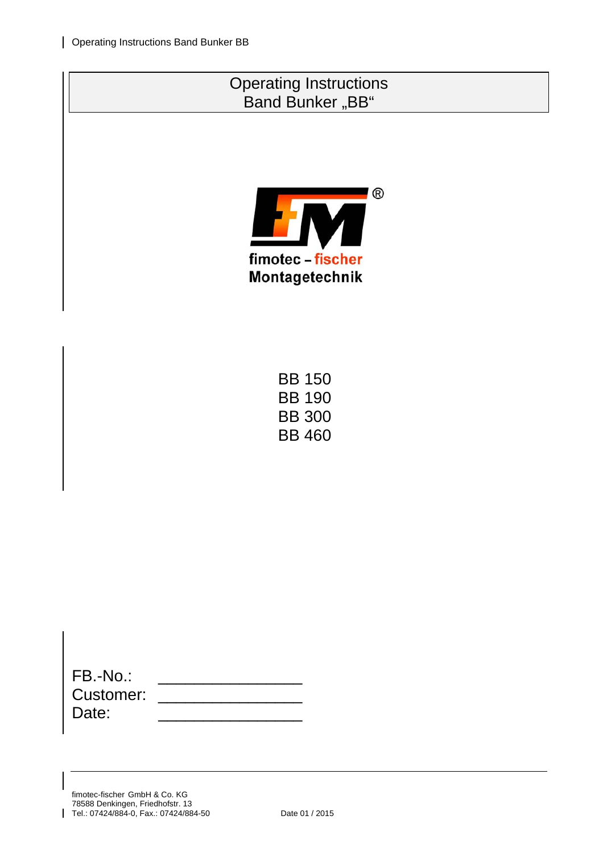# Operating Instructions Band Bunker "BB"



 BB 150 BB 190 BB 300 BB 460

| $FB.-No.$ |  |
|-----------|--|
| Customer: |  |
| Date:     |  |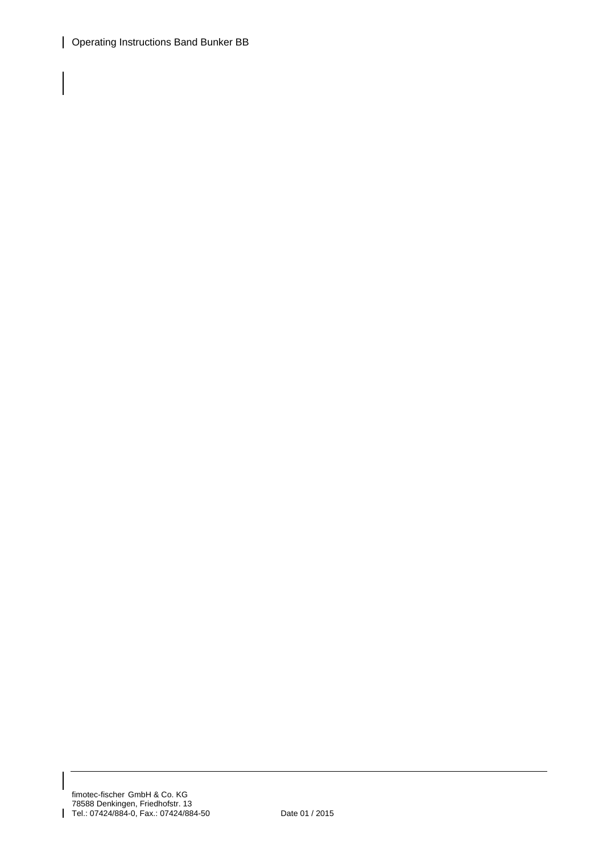Operating Instructions Band Bunker BB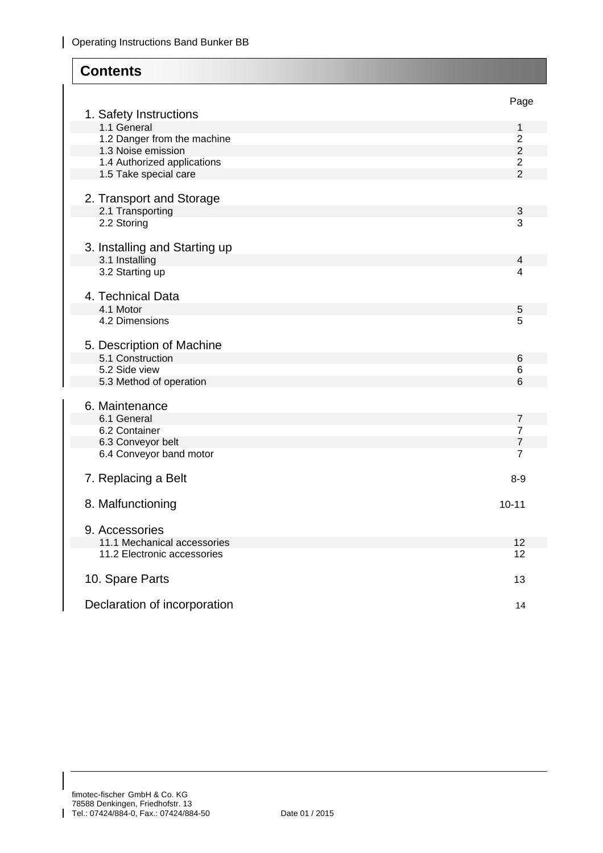### **Contents**

| 1. Safety Instructions        | Page                |
|-------------------------------|---------------------|
| 1.1 General                   | 1                   |
| 1.2 Danger from the machine   | $\overline{2}$      |
| 1.3 Noise emission            | $\overline{2}$      |
| 1.4 Authorized applications   | $\overline{2}$      |
| 1.5 Take special care         | $\overline{2}$      |
| 2. Transport and Storage      |                     |
| 2.1 Transporting              | 3                   |
| 2.2 Storing                   | 3                   |
|                               |                     |
| 3. Installing and Starting up |                     |
| 3.1 Installing                | 4                   |
| 3.2 Starting up               | 4                   |
|                               |                     |
| 4. Technical Data             |                     |
| 4.1 Motor                     | 5                   |
| 4.2 Dimensions                | 5                   |
|                               |                     |
| 5. Description of Machine     |                     |
| 5.1 Construction              | 6                   |
| 5.2 Side view                 | 6                   |
| 5.3 Method of operation       | 6                   |
|                               |                     |
| 6. Maintenance                |                     |
| 6.1 General                   | $\overline{7}$      |
| 6.2 Container                 | $\overline{7}$      |
| 6.3 Conveyor belt             | $\overline{7}$<br>7 |
| 6.4 Conveyor band motor       |                     |
| 7. Replacing a Belt           | $8 - 9$             |
|                               |                     |
|                               |                     |
| 8. Malfunctioning             | $10 - 11$           |
| 9. Accessories                |                     |
| 11.1 Mechanical accessories   | 12                  |
| 11.2 Electronic accessories   | 12                  |
|                               |                     |
| 10. Spare Parts               | 13                  |
|                               |                     |
|                               |                     |
| Declaration of incorporation  | 14                  |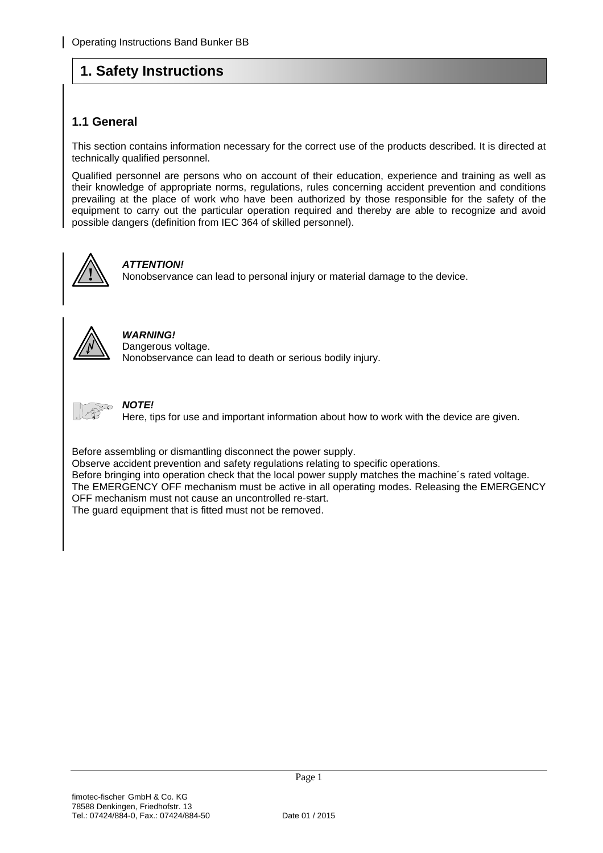### **1. Safety Instructions**

#### **1.1 General**

This section contains information necessary for the correct use of the products described. It is directed at technically qualified personnel.

Qualified personnel are persons who on account of their education, experience and training as well as their knowledge of appropriate norms, regulations, rules concerning accident prevention and conditions prevailing at the place of work who have been authorized by those responsible for the safety of the equipment to carry out the particular operation required and thereby are able to recognize and avoid possible dangers (definition from IEC 364 of skilled personnel).



#### *ATTENTION!*

Nonobservance can lead to personal injury or material damage to the device.



#### *WARNING!*

Dangerous voltage. Nonobservance can lead to death or serious bodily injury.



*NOTE!*  Here, tips for use and important information about how to work with the device are given.

Before assembling or dismantling disconnect the power supply.

Observe accident prevention and safety regulations relating to specific operations.

Before bringing into operation check that the local power supply matches the machine´s rated voltage. The EMERGENCY OFF mechanism must be active in all operating modes. Releasing the EMERGENCY OFF mechanism must not cause an uncontrolled re-start.

The guard equipment that is fitted must not be removed.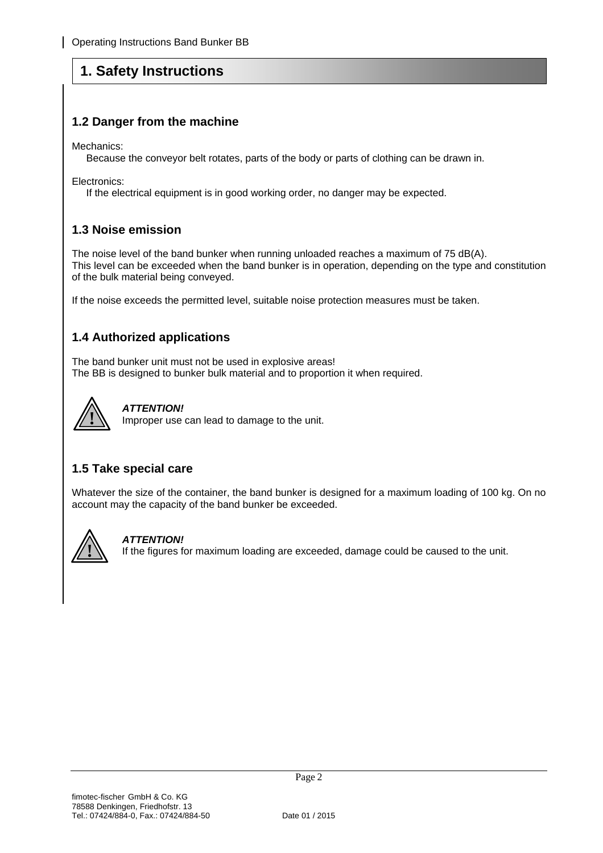### **1. Safety Instructions**

#### **1.2 Danger from the machine**

Mechanics:

Because the conveyor belt rotates, parts of the body or parts of clothing can be drawn in.

Electronics:

If the electrical equipment is in good working order, no danger may be expected.

#### **1.3 Noise emission**

The noise level of the band bunker when running unloaded reaches a maximum of 75 dB(A). This level can be exceeded when the band bunker is in operation, depending on the type and constitution of the bulk material being conveyed.

If the noise exceeds the permitted level, suitable noise protection measures must be taken.

### **1.4 Authorized applications**

The band bunker unit must not be used in explosive areas! The BB is designed to bunker bulk material and to proportion it when required.



#### *ATTENTION!*

Improper use can lead to damage to the unit.

#### **1.5 Take special care**

Whatever the size of the container, the band bunker is designed for a maximum loading of 100 kg. On no account may the capacity of the band bunker be exceeded.



#### *ATTENTION!*

If the figures for maximum loading are exceeded, damage could be caused to the unit.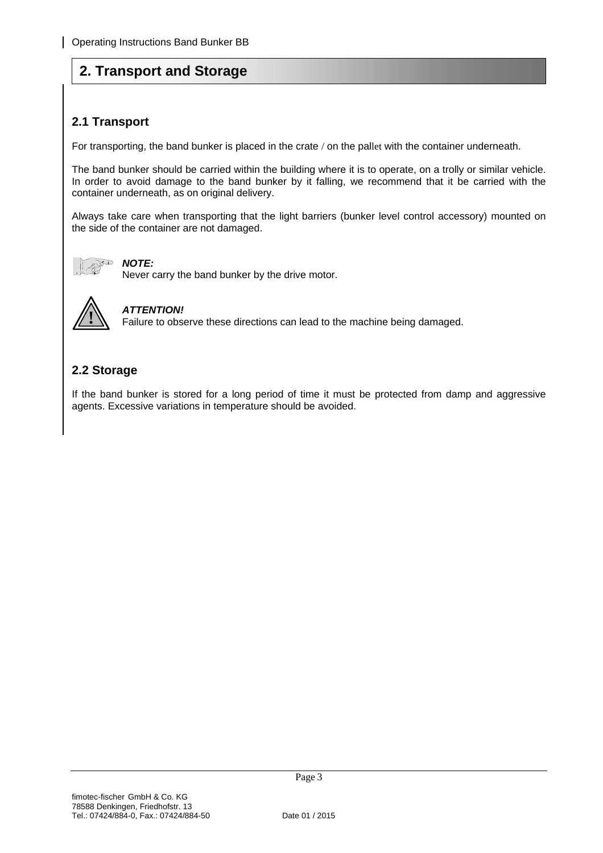### **2. Transport and Storage**

#### **2.1 Transport**

For transporting, the band bunker is placed in the crate / on the pallet with the container underneath.

The band bunker should be carried within the building where it is to operate, on a trolly or similar vehicle. In order to avoid damage to the band bunker by it falling, we recommend that it be carried with the container underneath, as on original delivery.

Always take care when transporting that the light barriers (bunker level control accessory) mounted on the side of the container are not damaged.



*NOTE:* 

Never carry the band bunker by the drive motor.



#### *ATTENTION!*

Failure to observe these directions can lead to the machine being damaged.

#### **2.2 Storage**

If the band bunker is stored for a long period of time it must be protected from damp and aggressive agents. Excessive variations in temperature should be avoided.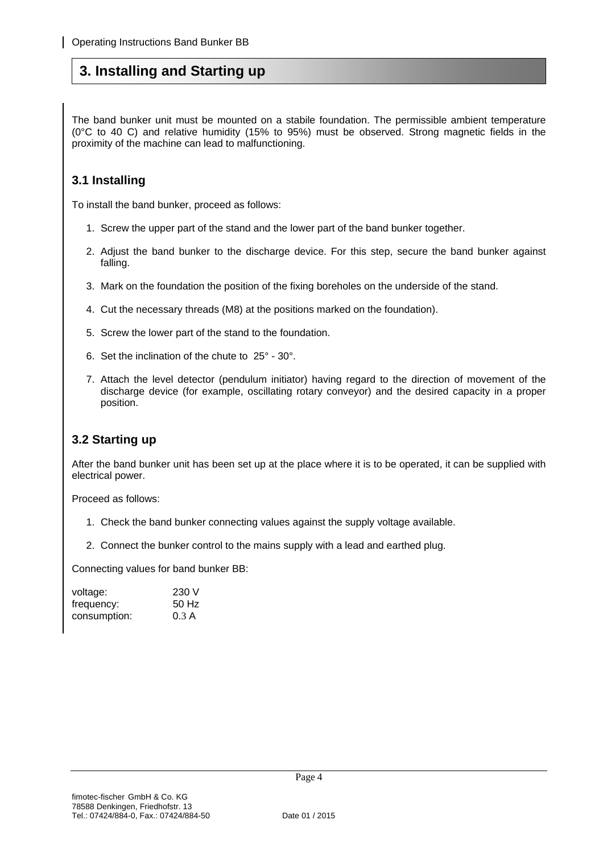### **3. Installing and Starting up**

The band bunker unit must be mounted on a stabile foundation. The permissible ambient temperature (0°C to 40 C) and relative humidity (15% to 95%) must be observed. Strong magnetic fields in the proximity of the machine can lead to malfunctioning.

#### **3.1 Installing**

To install the band bunker, proceed as follows:

- 1. Screw the upper part of the stand and the lower part of the band bunker together.
- 2. Adjust the band bunker to the discharge device. For this step, secure the band bunker against falling.
- 3. Mark on the foundation the position of the fixing boreholes on the underside of the stand.
- 4. Cut the necessary threads (M8) at the positions marked on the foundation).
- 5. Screw the lower part of the stand to the foundation.
- 6. Set the inclination of the chute to 25° 30°.
- 7. Attach the level detector (pendulum initiator) having regard to the direction of movement of the discharge device (for example, oscillating rotary conveyor) and the desired capacity in a proper position.

#### **3.2 Starting up**

After the band bunker unit has been set up at the place where it is to be operated, it can be supplied with electrical power.

Proceed as follows:

- 1. Check the band bunker connecting values against the supply voltage available.
- 2. Connect the bunker control to the mains supply with a lead and earthed plug.

Connecting values for band bunker BB:

| voltage:     | 230 V |
|--------------|-------|
| frequency:   | 50 Hz |
| consumption: | 0.3 A |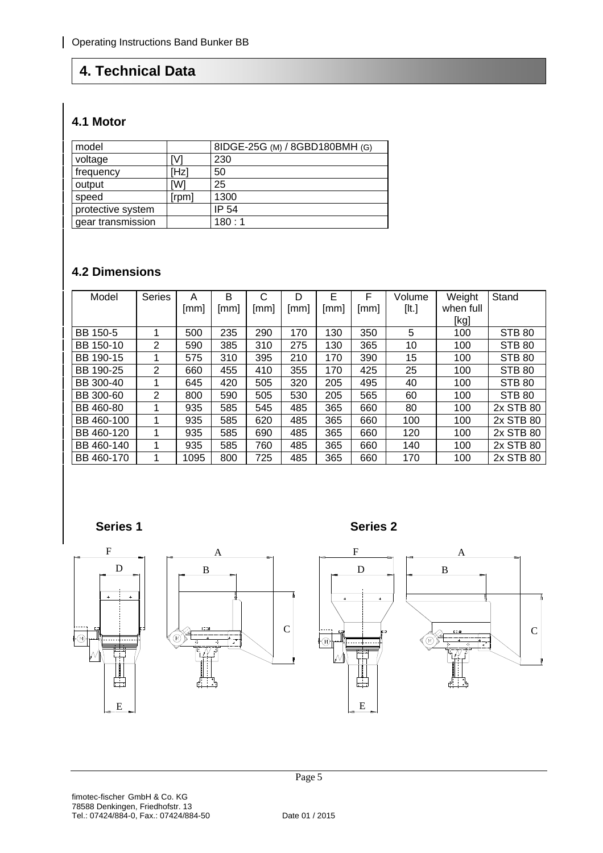### **4. Technical Data**

### **4.1 Motor**

| model             |       | 8IDGE-25G (M) / 8GBD180BMH (G) |
|-------------------|-------|--------------------------------|
| voltage           | IV.   | 230                            |
| frequency         | [Hz]  | 50                             |
| output            | [W]   | 25                             |
| speed             | [rpm] | 1300                           |
| protective system |       | IP 54                          |
| gear transmission |       | 180:1                          |

#### **4.2 Dimensions**

| Model      | <b>Series</b>  | A    | B    | C    | D    | E    | F    | Volume | Weight    | Stand         |
|------------|----------------|------|------|------|------|------|------|--------|-----------|---------------|
|            |                | [mm] | [mm] | [mm] | [mm] | [mm] | [mm] | [It.]  | when full |               |
|            |                |      |      |      |      |      |      |        | [kg]      |               |
| BB 150-5   | 1              | 500  | 235  | 290  | 170  | 130  | 350  | 5      | 100       | <b>STB 80</b> |
| BB 150-10  | $\overline{2}$ | 590  | 385  | 310  | 275  | 130  | 365  | 10     | 100       | <b>STB 80</b> |
| BB 190-15  | 1              | 575  | 310  | 395  | 210  | 170  | 390  | 15     | 100       | <b>STB 80</b> |
| BB 190-25  | $\overline{2}$ | 660  | 455  | 410  | 355  | 170  | 425  | 25     | 100       | <b>STB 80</b> |
| BB 300-40  | 1              | 645  | 420  | 505  | 320  | 205  | 495  | 40     | 100       | <b>STB 80</b> |
| BB 300-60  | 2              | 800  | 590  | 505  | 530  | 205  | 565  | 60     | 100       | <b>STB 80</b> |
| BB 460-80  |                | 935  | 585  | 545  | 485  | 365  | 660  | 80     | 100       | 2x STB 80     |
| BB 460-100 | 1              | 935  | 585  | 620  | 485  | 365  | 660  | 100    | 100       | 2x STB 80     |
| BB 460-120 | 1              | 935  | 585  | 690  | 485  | 365  | 660  | 120    | 100       | 2x STB 80     |
| BB 460-140 | 1              | 935  | 585  | 760  | 485  | 365  | 660  | 140    | 100       | 2x STB 80     |
| BB 460-170 |                | 1095 | 800  | 725  | 485  | 365  | 660  | 170    | 100       | 2x STB 80     |

#### **Series 1** Series 2





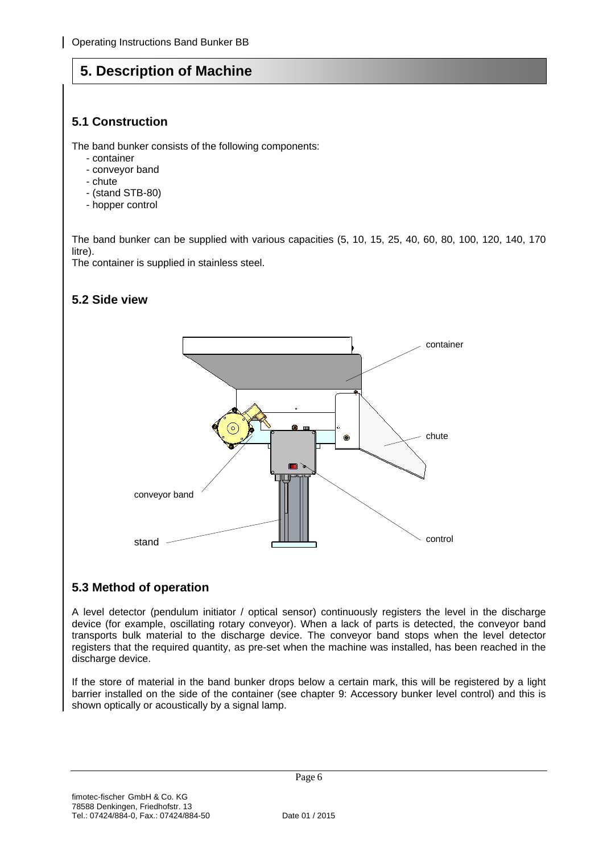### **5. Description of Machine**

#### **5.1 Construction**

The band bunker consists of the following components:

- container
- conveyor band
- chute
- (stand STB-80)
- hopper control

The band bunker can be supplied with various capacities (5, 10, 15, 25, 40, 60, 80, 100, 120, 140, 170 litre).

The container is supplied in stainless steel.

#### **5.2 Side view**



#### **5.3 Method of operation**

A level detector (pendulum initiator / optical sensor) continuously registers the level in the discharge device (for example, oscillating rotary conveyor). When a lack of parts is detected, the conveyor band transports bulk material to the discharge device. The conveyor band stops when the level detector registers that the required quantity, as pre-set when the machine was installed, has been reached in the discharge device.

If the store of material in the band bunker drops below a certain mark, this will be registered by a light barrier installed on the side of the container (see chapter 9: Accessory bunker level control) and this is shown optically or acoustically by a signal lamp.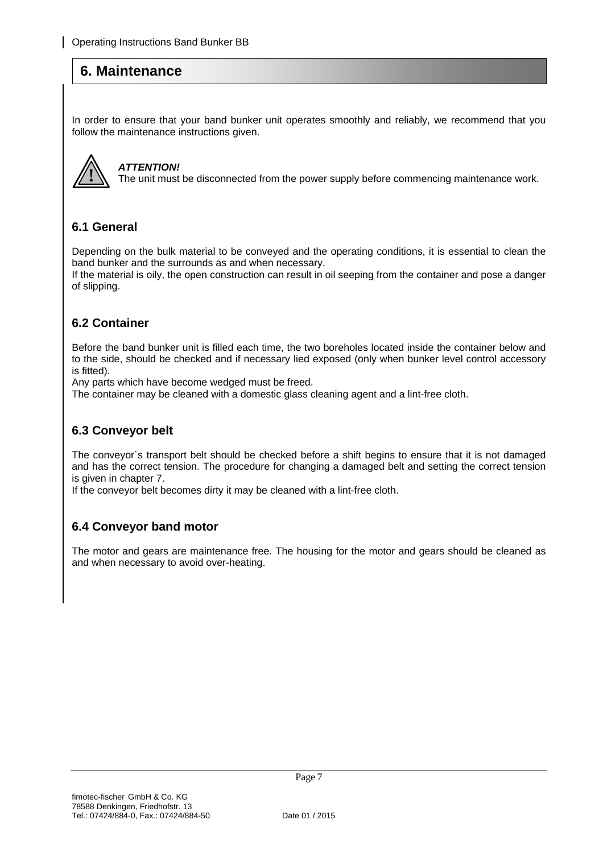### **6. Maintenance**

In order to ensure that your band bunker unit operates smoothly and reliably, we recommend that you follow the maintenance instructions given.



#### *ATTENTION!*

The unit must be disconnected from the power supply before commencing maintenance work.

#### **6.1 General**

Depending on the bulk material to be conveyed and the operating conditions, it is essential to clean the band bunker and the surrounds as and when necessary.

If the material is oily, the open construction can result in oil seeping from the container and pose a danger of slipping.

#### **6.2 Container**

Before the band bunker unit is filled each time, the two boreholes located inside the container below and to the side, should be checked and if necessary lied exposed (only when bunker level control accessory is fitted).

Any parts which have become wedged must be freed.

The container may be cleaned with a domestic glass cleaning agent and a lint-free cloth.

#### **6.3 Conveyor belt**

The conveyor´s transport belt should be checked before a shift begins to ensure that it is not damaged and has the correct tension. The procedure for changing a damaged belt and setting the correct tension is given in chapter 7.

If the conveyor belt becomes dirty it may be cleaned with a lint-free cloth.

#### **6.4 Conveyor band motor**

The motor and gears are maintenance free. The housing for the motor and gears should be cleaned as and when necessary to avoid over-heating.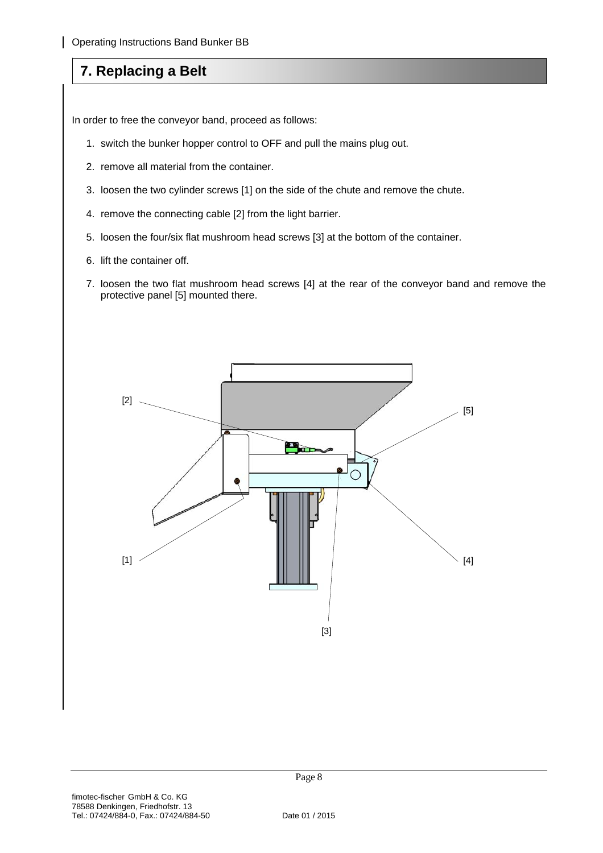### **7. Replacing a Belt**

In order to free the conveyor band, proceed as follows:

- 1. switch the bunker hopper control to OFF and pull the mains plug out.
- 2. remove all material from the container.
- 3. loosen the two cylinder screws [1] on the side of the chute and remove the chute.
- 4. remove the connecting cable [2] from the light barrier.
- 5. loosen the four/six flat mushroom head screws [3] at the bottom of the container.
- 6. lift the container off.
- 7. loosen the two flat mushroom head screws [4] at the rear of the conveyor band and remove the protective panel [5] mounted there.

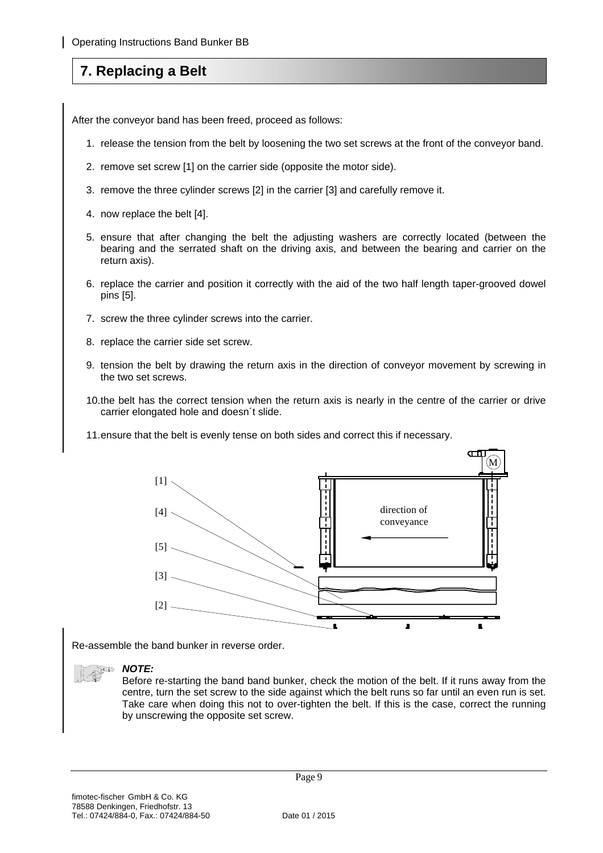### **7. Replacing a Belt**

After the conveyor band has been freed, proceed as follows:

- 1. release the tension from the belt by loosening the two set screws at the front of the conveyor band.
- 2. remove set screw [1] on the carrier side (opposite the motor side).
- 3. remove the three cylinder screws [2] in the carrier [3] and carefully remove it.
- 4. now replace the belt [4].
- 5. ensure that after changing the belt the adjusting washers are correctly located (between the bearing and the serrated shaft on the driving axis, and between the bearing and carrier on the return axis).
- 6. replace the carrier and position it correctly with the aid of the two half length taper-grooved dowel pins [5].
- 7. screw the three cylinder screws into the carrier.
- 8. replace the carrier side set screw.
- 9. tension the belt by drawing the return axis in the direction of conveyor movement by screwing in the two set screws.
- 10. the belt has the correct tension when the return axis is nearly in the centre of the carrier or drive carrier elongated hole and doesn´t slide.
- 11. ensure that the belt is evenly tense on both sides and correct this if necessary.



Re-assemble the band bunker in reverse order.

#### *NOTE:*

Before re-starting the band band bunker, check the motion of the belt. If it runs away from the centre, turn the set screw to the side against which the belt runs so far until an even run is set. Take care when doing this not to over-tighten the belt. If this is the case, correct the running by unscrewing the opposite set screw.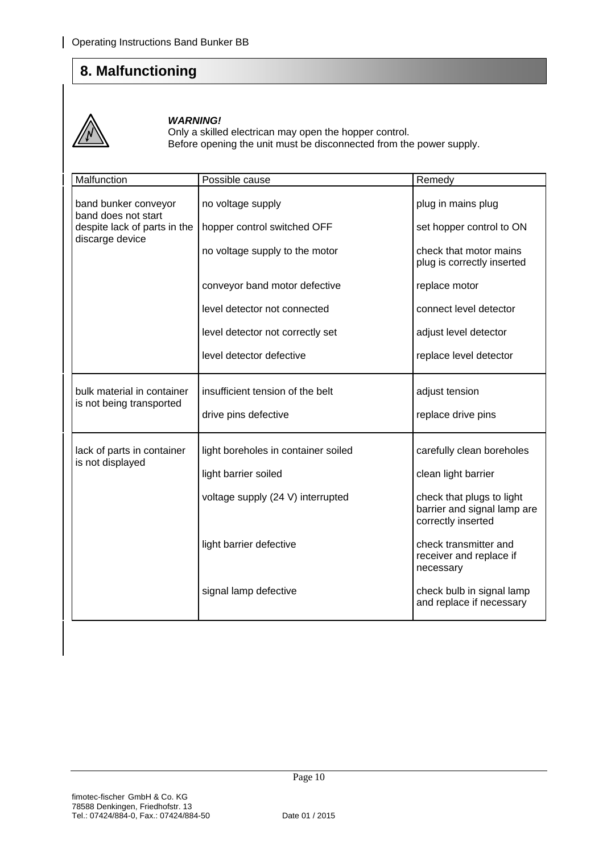### **8. Malfunctioning**



#### *WARNING!*

Only a skilled electrican may open the hopper control. Before opening the unit must be disconnected from the power supply.

| Malfunction                                     | Possible cause                      | Remedy                                                                         |
|-------------------------------------------------|-------------------------------------|--------------------------------------------------------------------------------|
| band bunker conveyor<br>band does not start     | no voltage supply                   | plug in mains plug                                                             |
| despite lack of parts in the<br>discarge device | hopper control switched OFF         | set hopper control to ON                                                       |
|                                                 | no voltage supply to the motor      | check that motor mains<br>plug is correctly inserted                           |
|                                                 | conveyor band motor defective       | replace motor                                                                  |
|                                                 | level detector not connected        | connect level detector                                                         |
|                                                 | level detector not correctly set    | adjust level detector                                                          |
|                                                 | level detector defective            | replace level detector                                                         |
| bulk material in container                      | insufficient tension of the belt    | adjust tension                                                                 |
| is not being transported                        | drive pins defective                | replace drive pins                                                             |
| lack of parts in container<br>is not displayed  | light boreholes in container soiled | carefully clean boreholes                                                      |
|                                                 | light barrier soiled                | clean light barrier                                                            |
|                                                 | voltage supply (24 V) interrupted   | check that plugs to light<br>barrier and signal lamp are<br>correctly inserted |
|                                                 | light barrier defective             | check transmitter and<br>receiver and replace if<br>necessary                  |
|                                                 | signal lamp defective               | check bulb in signal lamp<br>and replace if necessary                          |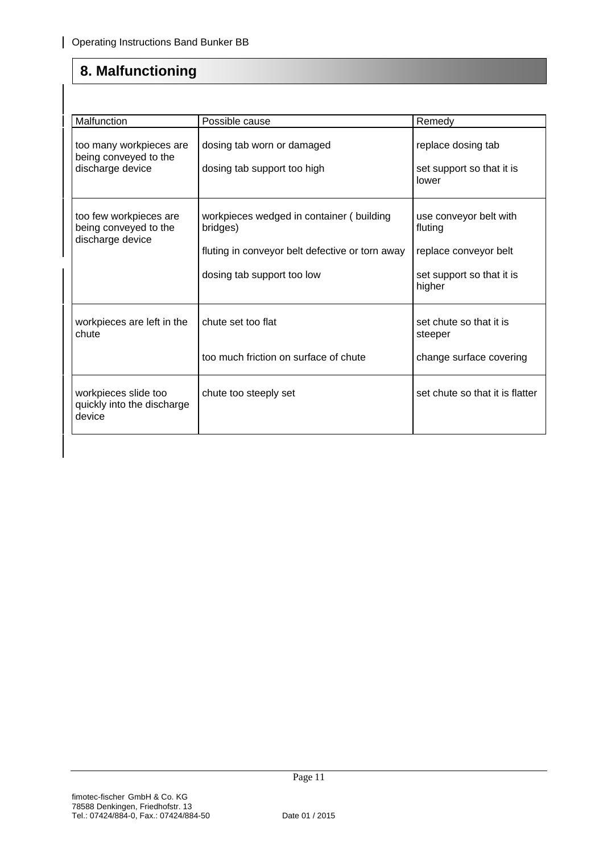## **8. Malfunctioning**

| Malfunction                                                          | Possible cause                                                                                                                        | Remedy                                                                                            |
|----------------------------------------------------------------------|---------------------------------------------------------------------------------------------------------------------------------------|---------------------------------------------------------------------------------------------------|
| too many workpieces are<br>being conveyed to the<br>discharge device | dosing tab worn or damaged<br>dosing tab support too high                                                                             | replace dosing tab<br>set support so that it is<br>lower                                          |
| too few workpieces are<br>being conveyed to the<br>discharge device  | workpieces wedged in container (building<br>bridges)<br>fluting in conveyor belt defective or torn away<br>dosing tab support too low | use conveyor belt with<br>fluting<br>replace conveyor belt<br>set support so that it is<br>higher |
| workpieces are left in the<br>chute                                  | chute set too flat<br>too much friction on surface of chute                                                                           | set chute so that it is<br>steeper<br>change surface covering                                     |
| workpieces slide too<br>quickly into the discharge<br>device         | chute too steeply set                                                                                                                 | set chute so that it is flatter                                                                   |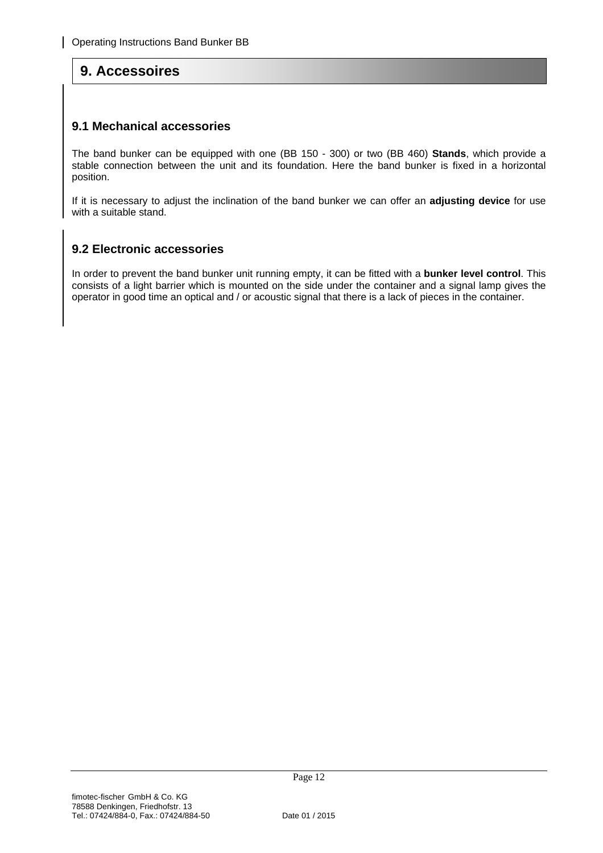### **9. Accessoires**

#### **9.1 Mechanical accessories**

The band bunker can be equipped with one (BB 150 - 300) or two (BB 460) **Stands**, which provide a stable connection between the unit and its foundation. Here the band bunker is fixed in a horizontal position.

If it is necessary to adjust the inclination of the band bunker we can offer an **adjusting device** for use with a suitable stand.

#### **9.2 Electronic accessories**

In order to prevent the band bunker unit running empty, it can be fitted with a **bunker level control**. This consists of a light barrier which is mounted on the side under the container and a signal lamp gives the operator in good time an optical and / or acoustic signal that there is a lack of pieces in the container.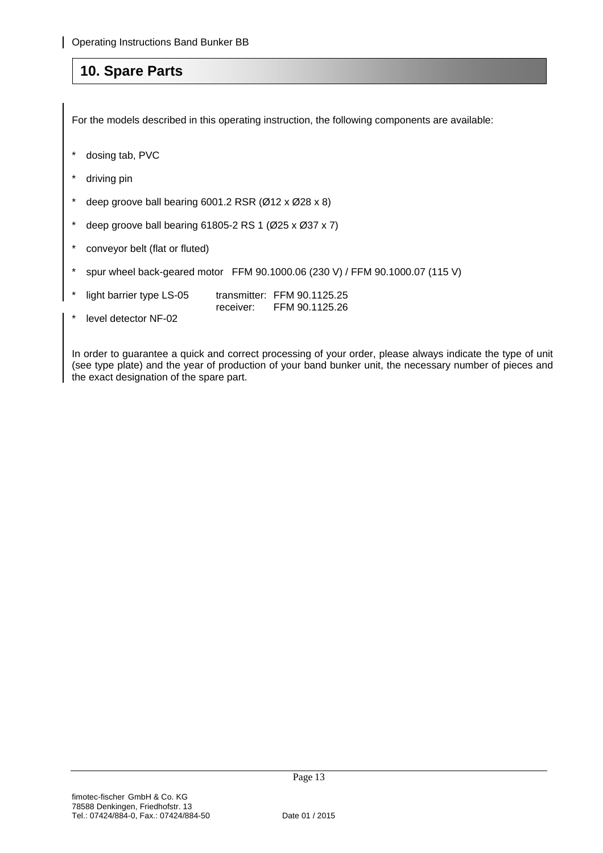### **10. Spare Parts**

For the models described in this operating instruction, the following components are available:

- dosing tab, PVC
- driving pin
- deep groove ball bearing 6001.2 RSR (Ø12 x Ø28 x 8)
- deep groove ball bearing 61805-2 RS 1 (Ø25 x Ø37 x 7)
- conveyor belt (flat or fluted)
- spur wheel back-geared motor FFM 90.1000.06 (230 V) / FFM 90.1000.07 (115 V)
- light barrier type LS-05 transmitter: FFM 90.1125.25 receiver: FFM 90.1125.26
- level detector NF-02

In order to guarantee a quick and correct processing of your order, please always indicate the type of unit (see type plate) and the year of production of your band bunker unit, the necessary number of pieces and the exact designation of the spare part.